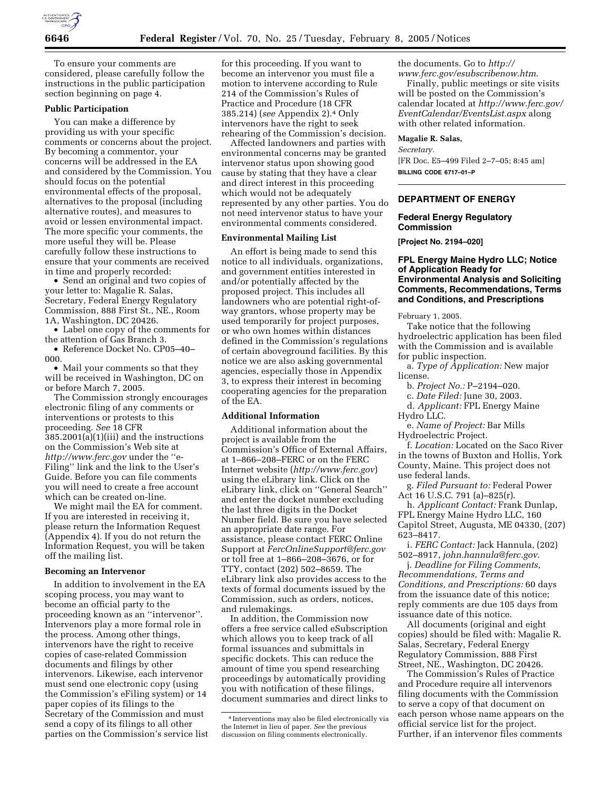

To ensure your comments are considered, please carefully follow the instructions in the public participation section beginning on page 4.

### **Public Participation**

You can make a difference by providing us with your specific comments or concerns about the project. By becoming a commentor, your concerns will be addressed in the EA and considered by the Commission. You should focus on the potential environmental effects of the proposal, alternatives to the proposal (including alternative routes), and measures to avoid or lessen environmental impact. The more specific your comments, the more useful they will be. Please carefully follow these instructions to ensure that your comments are received in time and properly recorded:

• Send an original and two copies of your letter to: Magalie R. Salas, Secretary, Federal Energy Regulatory Commission, 888 First St., NE., Room 1A, Washington, DC 20426.

• Label one copy of the comments for the attention of Gas Branch 3.

• Reference Docket No. CP05–40– 000.

• Mail your comments so that they will be received in Washington, DC on or before March 7, 2005.

The Commission strongly encourages electronic filing of any comments or interventions or protests to this proceeding. *See* 18 CFR 385.2001(a)(1)(iii) and the instructions on the Commission's Web site at *http://www.ferc.gov* under the ''e-Filing'' link and the link to the User's Guide. Before you can file comments you will need to create a free account which can be created on-line.

We might mail the EA for comment. If you are interested in receiving it, please return the Information Request (Appendix 4). If you do not return the Information Request, you will be taken off the mailing list.

#### **Becoming an Intervenor**

In addition to involvement in the EA scoping process, you may want to become an official party to the proceeding known as an ''intervenor''. Intervenors play a more formal role in the process. Among other things, intervenors have the right to receive copies of case-related Commission documents and filings by other intervenors. Likewise, each intervenor must send one electronic copy (using the Commission's eFiling system) or 14 paper copies of its filings to the Secretary of the Commission and must send a copy of its filings to all other parties on the Commission's service list

for this proceeding. If you want to become an intervenor you must file a motion to intervene according to Rule 214 of the Commission's Rules of Practice and Procedure (18 CFR 385.214) (*see* Appendix 2).4 Only intervenors have the right to seek rehearing of the Commission's decision.

Affected landowners and parties with environmental concerns may be granted intervenor status upon showing good cause by stating that they have a clear and direct interest in this proceeding which would not be adequately represented by any other parties. You do not need intervenor status to have your environmental comments considered.

#### **Environmental Mailing List**

An effort is being made to send this notice to all individuals, organizations, and government entities interested in and/or potentially affected by the proposed project. This includes all landowners who are potential right-ofway grantors, whose property may be used temporarily for project purposes, or who own homes within distances defined in the Commission's regulations of certain aboveground facilities. By this notice we are also asking governmental agencies, especially those in Appendix 3, to express their interest in becoming cooperating agencies for the preparation of the EA.

# **Additional Information**

Additional information about the project is available from the Commission's Office of External Affairs, at 1–866–208–FERC or on the FERC Internet website (*http://www.ferc.gov*) using the eLibrary link. Click on the eLibrary link, click on ''General Search'' and enter the docket number excluding the last three digits in the Docket Number field. Be sure you have selected an appropriate date range. For assistance, please contact FERC Online Support at *FercOnlineSupport@ferc.gov* or toll free at 1–866–208–3676, or for TTY, contact (202) 502–8659. The eLibrary link also provides access to the texts of formal documents issued by the Commission, such as orders, notices, and rulemakings.

In addition, the Commission now offers a free service called eSubscription which allows you to keep track of all formal issuances and submittals in specific dockets. This can reduce the amount of time you spend researching proceedings by automatically providing you with notification of these filings, document summaries and direct links to the documents. Go to *http:// www.ferc.gov/esubscribenow.htm*.

Finally, public meetings or site visits will be posted on the Commission's calendar located at *http://www.ferc.gov/ EventCalendar/EventsList.aspx* along with other related information.

### **Magalie R. Salas,**

*Secretary.* [FR Doc. E5–499 Filed 2–7–05; 8:45 am] **BILLING CODE 6717–01–P**

## **DEPARTMENT OF ENERGY**

#### **Federal Energy Regulatory Commission**

**[Project No. 2194–020]** 

# **FPL Energy Maine Hydro LLC; Notice of Application Ready for Environmental Analysis and Soliciting Comments, Recommendations, Terms and Conditions, and Prescriptions**

February 1, 2005.

Take notice that the following hydroelectric application has been filed with the Commission and is available for public inspection.

a. *Type of Application:* New major license.

b. *Project No.:* P–2194–020.

c. *Date Filed:* June 30, 2003.

d. *Applicant:* FPL Energy Maine Hydro LLC.

e. *Name of Project:* Bar Mills Hydroelectric Project.

f. *Location:* Located on the Saco River in the towns of Buxton and Hollis, York County, Maine. This project does not use federal lands.

g. *Filed Pursuant to:* Federal Power Act 16 U.S.C. 791 (a)–825(r).

h. *Applicant Contact:* Frank Dunlap, FPL Energy Maine Hydro LLC, 160 Capitol Street, Augusta, ME 04330, (207) 623–8417.

i. *FERC Contact:* Jack Hannula, (202) 502–8917, *john.hannula@ferc.gov*.

j. *Deadline for Filing Comments, Recommendations, Terms and Conditions, and Prescriptions:* 60 days from the issuance date of this notice; reply comments are due 105 days from issuance date of this notice.

All documents (original and eight copies) should be filed with: Magalie R. Salas, Secretary, Federal Energy Regulatory Commission, 888 First Street, NE., Washington, DC 20426.

The Commission's Rules of Practice and Procedure require all intervenors filing documents with the Commission to serve a copy of that document on each person whose name appears on the official service list for the project. Further, if an intervenor files comments

<sup>4</sup> Interventions may also be filed electronically via the Internet in lieu of paper. *See* the previous discussion on filing comments electronically.